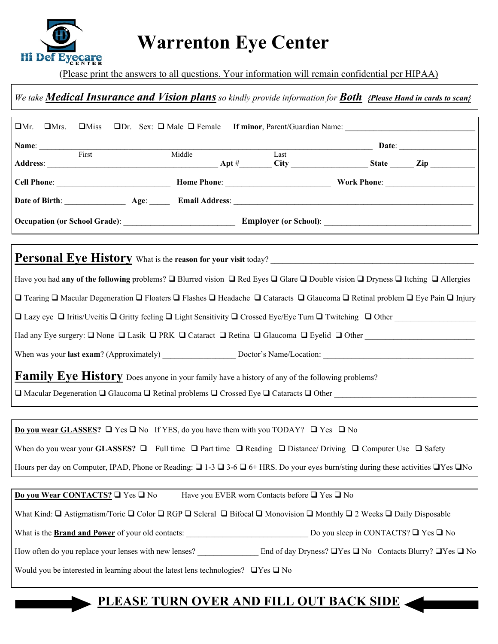

## **Warrenton Eye Center**

(Please print the answers to all questions. Your information will remain confidential per HIPAA)

## *We take Medical Insurance and Vision plans so kindly provide information for Both {Please Hand in cards to scan}*

| $\Box$ Mr.<br>$\Box$ Mrs.<br>$\Box$ Miss                                                                                                                                                                               |        |                                                         | □Dr. Sex: □ Male □ Female If minor, Parent/Guardian Name: |  |  |
|------------------------------------------------------------------------------------------------------------------------------------------------------------------------------------------------------------------------|--------|---------------------------------------------------------|-----------------------------------------------------------|--|--|
| Name: First                                                                                                                                                                                                            |        |                                                         |                                                           |  |  |
|                                                                                                                                                                                                                        | Middle | $\overline{\text{Last}}$                                |                                                           |  |  |
|                                                                                                                                                                                                                        |        |                                                         |                                                           |  |  |
|                                                                                                                                                                                                                        |        |                                                         |                                                           |  |  |
|                                                                                                                                                                                                                        |        |                                                         |                                                           |  |  |
|                                                                                                                                                                                                                        |        |                                                         |                                                           |  |  |
| <b>Personal Eye History</b> What is the reason for your visit today?                                                                                                                                                   |        |                                                         |                                                           |  |  |
| Have you had any of the following problems? $\Box$ Blurred vision $\Box$ Red Eyes $\Box$ Glare $\Box$ Double vision $\Box$ Dryness $\Box$ Itching $\Box$ Allergies                                                     |        |                                                         |                                                           |  |  |
| □ Tearing □ Macular Degeneration □ Floaters □ Flashes □ Headache □ Cataracts □ Glaucoma □ Retinal problem □ Eye Pain □ Injury                                                                                          |        |                                                         |                                                           |  |  |
| $\Box$ Lazy eye $\Box$ Iritis/Uveitis $\Box$ Gritty feeling $\Box$ Light Sensitivity $\Box$ Crossed Eye/Eye Turn $\Box$ Twitching $\Box$ Other                                                                         |        |                                                         |                                                           |  |  |
| Had any Eye surgery: $\Box$ None $\Box$ Lasik $\Box$ PRK $\Box$ Cataract $\Box$ Retina $\Box$ Glaucoma $\Box$ Eyelid $\Box$ Other                                                                                      |        |                                                         |                                                           |  |  |
|                                                                                                                                                                                                                        |        |                                                         |                                                           |  |  |
|                                                                                                                                                                                                                        |        |                                                         |                                                           |  |  |
| Family Eye History Does anyone in your family have a history of any of the following problems?<br>$\Box$ Macular Degeneration $\Box$ Glaucoma $\Box$ Retinal problems $\Box$ Crossed Eye $\Box$ Cataracts $\Box$ Other |        |                                                         |                                                           |  |  |
|                                                                                                                                                                                                                        |        |                                                         |                                                           |  |  |
| <b>Do you wear GLASSES?</b> $\Box$ Yes $\Box$ No If YES, do you have them with you TODAY? $\Box$ Yes $\Box$ No                                                                                                         |        |                                                         |                                                           |  |  |
| When do you wear your GLASSES? $\Box$ Full time $\Box$ Part time $\Box$ Reading $\Box$ Distance/ Driving $\Box$ Computer Use $\Box$ Safety                                                                             |        |                                                         |                                                           |  |  |
| Hours per day on Computer, IPAD, Phone or Reading: $\Box$ 1-3 $\Box$ 3-6 $\Box$ 6+ HRS. Do your eyes burn/sting during these activities $\Box$ Yes $\Box$ No                                                           |        |                                                         |                                                           |  |  |
|                                                                                                                                                                                                                        |        |                                                         |                                                           |  |  |
| Do you Wear CONTACTS? $\square$ Yes $\square$ No                                                                                                                                                                       |        | Have you EVER worn Contacts before $\Box$ Yes $\Box$ No |                                                           |  |  |
| What Kind: $\Box$ Astigmatism/Toric $\Box$ Color $\Box$ RGP $\Box$ Scleral $\Box$ Bifocal $\Box$ Monovision $\Box$ Monthly $\Box$ 2 Weeks $\Box$ Daily Disposable                                                      |        |                                                         |                                                           |  |  |
| What is the <b>Brand and Power</b> of your old contacts: $\Box$ Do you sleep in CONTACTS? $\Box$ Yes $\Box$ No                                                                                                         |        |                                                         |                                                           |  |  |
|                                                                                                                                                                                                                        |        |                                                         |                                                           |  |  |
| Would you be interested in learning about the latest lens technologies? $\Box$ Yes $\Box$ No                                                                                                                           |        |                                                         |                                                           |  |  |
|                                                                                                                                                                                                                        |        |                                                         |                                                           |  |  |

## **PLEASE TURN OVER AND FILL OUT BACK SIDE**